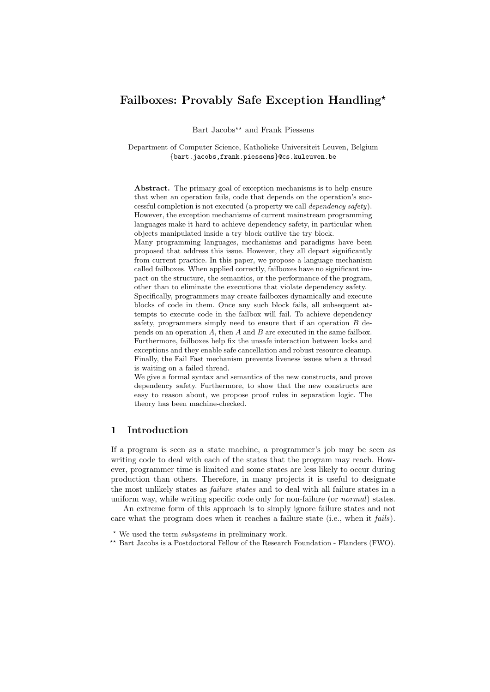# Failboxes: Provably Safe Exception Handling?

Bart Jacobs<sup>\*\*</sup> and Frank Piessens

Department of Computer Science, Katholieke Universiteit Leuven, Belgium {bart.jacobs,frank.piessens}@cs.kuleuven.be

Abstract. The primary goal of exception mechanisms is to help ensure that when an operation fails, code that depends on the operation's successful completion is not executed (a property we call dependency safety). However, the exception mechanisms of current mainstream programming languages make it hard to achieve dependency safety, in particular when objects manipulated inside a try block outlive the try block.

Many programming languages, mechanisms and paradigms have been proposed that address this issue. However, they all depart significantly from current practice. In this paper, we propose a language mechanism called failboxes. When applied correctly, failboxes have no significant impact on the structure, the semantics, or the performance of the program, other than to eliminate the executions that violate dependency safety.

Specifically, programmers may create failboxes dynamically and execute blocks of code in them. Once any such block fails, all subsequent attempts to execute code in the failbox will fail. To achieve dependency safety, programmers simply need to ensure that if an operation  $B$  depends on an operation A, then A and B are executed in the same failbox. Furthermore, failboxes help fix the unsafe interaction between locks and exceptions and they enable safe cancellation and robust resource cleanup. Finally, the Fail Fast mechanism prevents liveness issues when a thread is waiting on a failed thread.

We give a formal syntax and semantics of the new constructs, and prove dependency safety. Furthermore, to show that the new constructs are easy to reason about, we propose proof rules in separation logic. The theory has been machine-checked.

## 1 Introduction

If a program is seen as a state machine, a programmer's job may be seen as writing code to deal with each of the states that the program may reach. However, programmer time is limited and some states are less likely to occur during production than others. Therefore, in many projects it is useful to designate the most unlikely states as failure states and to deal with all failure states in a uniform way, while writing specific code only for non-failure (or *normal*) states.

An extreme form of this approach is to simply ignore failure states and not care what the program does when it reaches a failure state (i.e., when it fails).

<sup>?</sup> We used the term subsystems in preliminary work.

<sup>\*\*</sup> Bart Jacobs is a Postdoctoral Fellow of the Research Foundation - Flanders (FWO).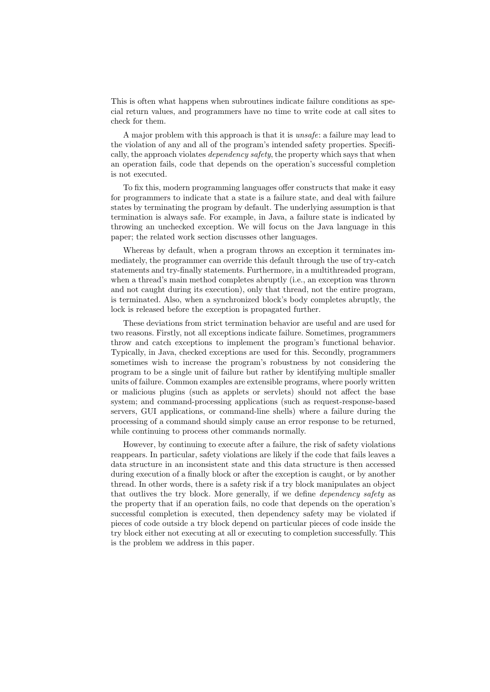This is often what happens when subroutines indicate failure conditions as special return values, and programmers have no time to write code at call sites to check for them.

A major problem with this approach is that it is unsafe: a failure may lead to the violation of any and all of the program's intended safety properties. Specifically, the approach violates *dependency safety*, the property which says that when an operation fails, code that depends on the operation's successful completion is not executed.

To fix this, modern programming languages offer constructs that make it easy for programmers to indicate that a state is a failure state, and deal with failure states by terminating the program by default. The underlying assumption is that termination is always safe. For example, in Java, a failure state is indicated by throwing an unchecked exception. We will focus on the Java language in this paper; the related work section discusses other languages.

Whereas by default, when a program throws an exception it terminates immediately, the programmer can override this default through the use of try-catch statements and try-finally statements. Furthermore, in a multithreaded program, when a thread's main method completes abruptly (i.e., an exception was thrown and not caught during its execution), only that thread, not the entire program, is terminated. Also, when a synchronized block's body completes abruptly, the lock is released before the exception is propagated further.

These deviations from strict termination behavior are useful and are used for two reasons. Firstly, not all exceptions indicate failure. Sometimes, programmers throw and catch exceptions to implement the program's functional behavior. Typically, in Java, checked exceptions are used for this. Secondly, programmers sometimes wish to increase the program's robustness by not considering the program to be a single unit of failure but rather by identifying multiple smaller units of failure. Common examples are extensible programs, where poorly written or malicious plugins (such as applets or servlets) should not affect the base system; and command-processing applications (such as request-response-based servers, GUI applications, or command-line shells) where a failure during the processing of a command should simply cause an error response to be returned, while continuing to process other commands normally.

However, by continuing to execute after a failure, the risk of safety violations reappears. In particular, safety violations are likely if the code that fails leaves a data structure in an inconsistent state and this data structure is then accessed during execution of a finally block or after the exception is caught, or by another thread. In other words, there is a safety risk if a try block manipulates an object that outlives the try block. More generally, if we define dependency safety as the property that if an operation fails, no code that depends on the operation's successful completion is executed, then dependency safety may be violated if pieces of code outside a try block depend on particular pieces of code inside the try block either not executing at all or executing to completion successfully. This is the problem we address in this paper.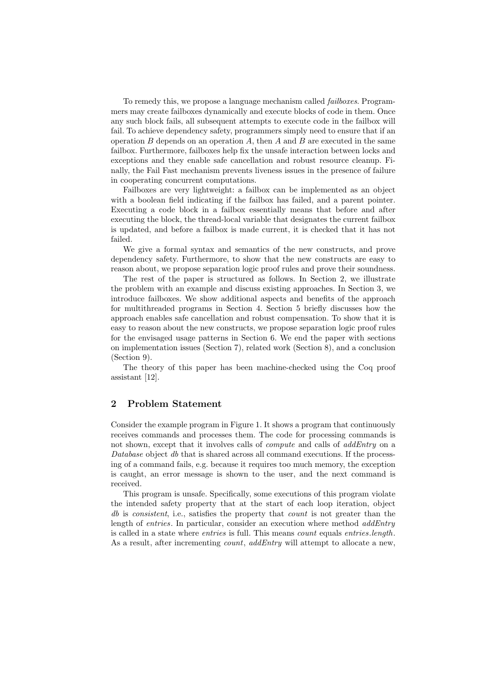To remedy this, we propose a language mechanism called failboxes. Programmers may create failboxes dynamically and execute blocks of code in them. Once any such block fails, all subsequent attempts to execute code in the failbox will fail. To achieve dependency safety, programmers simply need to ensure that if an operation  $B$  depends on an operation  $A$ , then  $A$  and  $B$  are executed in the same failbox. Furthermore, failboxes help fix the unsafe interaction between locks and exceptions and they enable safe cancellation and robust resource cleanup. Finally, the Fail Fast mechanism prevents liveness issues in the presence of failure in cooperating concurrent computations.

Failboxes are very lightweight: a failbox can be implemented as an object with a boolean field indicating if the failbox has failed, and a parent pointer. Executing a code block in a failbox essentially means that before and after executing the block, the thread-local variable that designates the current failbox is updated, and before a failbox is made current, it is checked that it has not failed.

We give a formal syntax and semantics of the new constructs, and prove dependency safety. Furthermore, to show that the new constructs are easy to reason about, we propose separation logic proof rules and prove their soundness.

The rest of the paper is structured as follows. In Section 2, we illustrate the problem with an example and discuss existing approaches. In Section 3, we introduce failboxes. We show additional aspects and benefits of the approach for multithreaded programs in Section 4. Section 5 briefly discusses how the approach enables safe cancellation and robust compensation. To show that it is easy to reason about the new constructs, we propose separation logic proof rules for the envisaged usage patterns in Section 6. We end the paper with sections on implementation issues (Section 7), related work (Section 8), and a conclusion (Section 9).

The theory of this paper has been machine-checked using the Coq proof assistant [12].

#### 2 Problem Statement

Consider the example program in Figure 1. It shows a program that continuously receives commands and processes them. The code for processing commands is not shown, except that it involves calls of *compute* and calls of *addEntry* on a Database object db that is shared across all command executions. If the processing of a command fails, e.g. because it requires too much memory, the exception is caught, an error message is shown to the user, and the next command is received.

This program is unsafe. Specifically, some executions of this program violate the intended safety property that at the start of each loop iteration, object db is consistent, i.e., satisfies the property that count is not greater than the length of entries. In particular, consider an execution where method *addEntry* is called in a state where entries is full. This means count equals entries.length. As a result, after incrementing *count*, addEntry will attempt to allocate a new,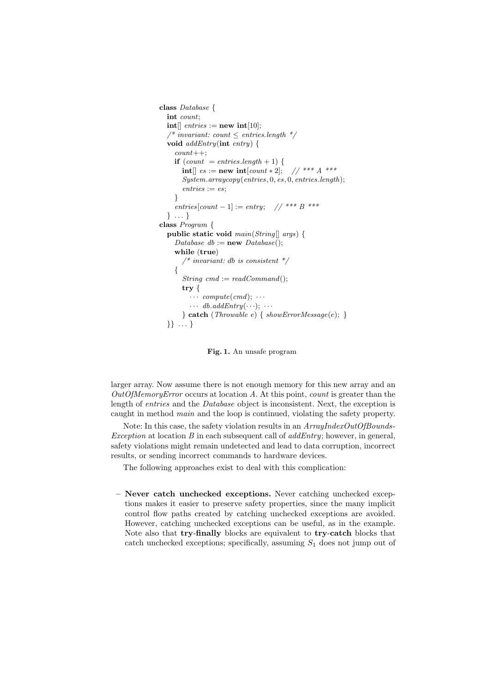```
class Database {
  int count;
  \text{int} entries := new int[10];
  \ell^* invariant: count \leq entries.length */
  void addEntry(int entry) {
     count++;
    if \text{(count = entries.length + 1)}\inf[ es := new \inf[ count * 2]; // *** A ***
       System.arraycopy(entries, 0, es, 0, entries.length);
       entries := es;}
     entries[count-1] := entry; // *** B ***
  } . . . }
class Program {
  public static void main(String[] args) {
     Database db := new\ Database();while (true)
       \frac{1}{2} invariant: db is consistent */
    {
       String \text{cmd} := readCommand();try {
         \cdots compute(cmd); \cdots\cdots db.addEntry(\cdots); \cdots\} catch (Throwable e) { showErrorMessage(e); }
  \} \} \dots \}
```
Fig. 1. An unsafe program

larger array. Now assume there is not enough memory for this new array and an  $OutOfMemoryError$  occurs at location A. At this point, *count* is greater than the length of entries and the Database object is inconsistent. Next, the exception is caught in method main and the loop is continued, violating the safety property.

Note: In this case, the safety violation results in an  $ArrayIndexOutOfBounds-$ Exception at location  $B$  in each subsequent call of  $addEntry$ ; however, in general, safety violations might remain undetected and lead to data corruption, incorrect results, or sending incorrect commands to hardware devices.

The following approaches exist to deal with this complication:

– Never catch unchecked exceptions. Never catching unchecked exceptions makes it easier to preserve safety properties, since the many implicit control flow paths created by catching unchecked exceptions are avoided. However, catching unchecked exceptions can be useful, as in the example. Note also that try-finally blocks are equivalent to try-catch blocks that catch unchecked exceptions; specifically, assuming  $S_1$  does not jump out of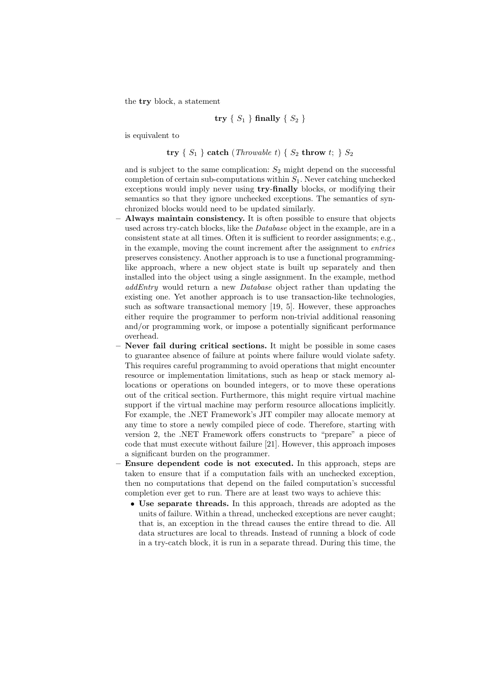the try block, a statement

$$
\mathbf{try} \{ S_1 \} \mathbf{ finally} \{ S_2 \}
$$

is equivalent to

## try  $\{S_1\}$  catch (Throwable t)  $\{S_2$  throw  $t; \}$   $S_2$

and is subject to the same complication:  $S_2$  might depend on the successful completion of certain sub-computations within  $S_1$ . Never catching unchecked exceptions would imply never using try-finally blocks, or modifying their semantics so that they ignore unchecked exceptions. The semantics of synchronized blocks would need to be updated similarly.

- Always maintain consistency. It is often possible to ensure that objects used across try-catch blocks, like the Database object in the example, are in a consistent state at all times. Often it is sufficient to reorder assignments; e.g., in the example, moving the count increment after the assignment to entries preserves consistency. Another approach is to use a functional programminglike approach, where a new object state is built up separately and then installed into the object using a single assignment. In the example, method addEntry would return a new Database object rather than updating the existing one. Yet another approach is to use transaction-like technologies, such as software transactional memory [19, 5]. However, these approaches either require the programmer to perform non-trivial additional reasoning and/or programming work, or impose a potentially significant performance overhead.
- Never fail during critical sections. It might be possible in some cases to guarantee absence of failure at points where failure would violate safety. This requires careful programming to avoid operations that might encounter resource or implementation limitations, such as heap or stack memory allocations or operations on bounded integers, or to move these operations out of the critical section. Furthermore, this might require virtual machine support if the virtual machine may perform resource allocations implicitly. For example, the .NET Framework's JIT compiler may allocate memory at any time to store a newly compiled piece of code. Therefore, starting with version 2, the .NET Framework offers constructs to "prepare" a piece of code that must execute without failure [21]. However, this approach imposes a significant burden on the programmer.
- Ensure dependent code is not executed. In this approach, steps are taken to ensure that if a computation fails with an unchecked exception, then no computations that depend on the failed computation's successful completion ever get to run. There are at least two ways to achieve this:
	- Use separate threads. In this approach, threads are adopted as the units of failure. Within a thread, unchecked exceptions are never caught; that is, an exception in the thread causes the entire thread to die. All data structures are local to threads. Instead of running a block of code in a try-catch block, it is run in a separate thread. During this time, the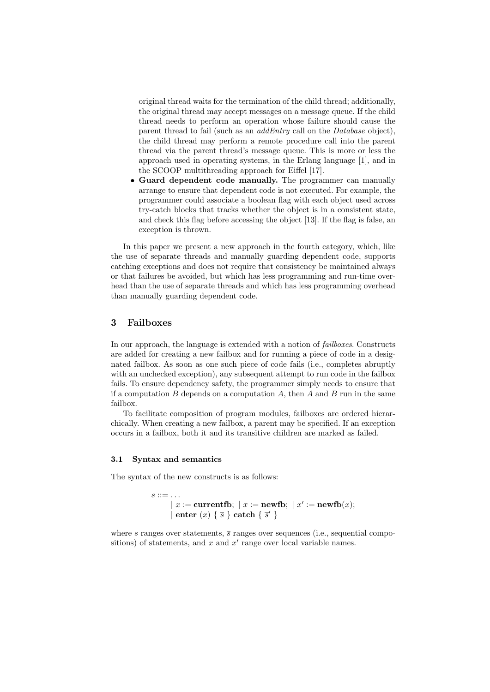original thread waits for the termination of the child thread; additionally, the original thread may accept messages on a message queue. If the child thread needs to perform an operation whose failure should cause the parent thread to fail (such as an addEntry call on the Database object), the child thread may perform a remote procedure call into the parent thread via the parent thread's message queue. This is more or less the approach used in operating systems, in the Erlang language [1], and in the SCOOP multithreading approach for Eiffel [17].

• Guard dependent code manually. The programmer can manually arrange to ensure that dependent code is not executed. For example, the programmer could associate a boolean flag with each object used across try-catch blocks that tracks whether the object is in a consistent state, and check this flag before accessing the object [13]. If the flag is false, an exception is thrown.

In this paper we present a new approach in the fourth category, which, like the use of separate threads and manually guarding dependent code, supports catching exceptions and does not require that consistency be maintained always or that failures be avoided, but which has less programming and run-time overhead than the use of separate threads and which has less programming overhead than manually guarding dependent code.

## 3 Failboxes

In our approach, the language is extended with a notion of *failboxes*. Constructs are added for creating a new failbox and for running a piece of code in a designated failbox. As soon as one such piece of code fails (i.e., completes abruptly with an unchecked exception), any subsequent attempt to run code in the failbox fails. To ensure dependency safety, the programmer simply needs to ensure that if a computation  $B$  depends on a computation  $A$ , then  $A$  and  $B$  run in the same failbox.

To facilitate composition of program modules, failboxes are ordered hierarchically. When creating a new failbox, a parent may be specified. If an exception occurs in a failbox, both it and its transitive children are marked as failed.

#### 3.1 Syntax and semantics

The syntax of the new constructs is as follows:

$$
s ::= ...
$$
  
\n
$$
| x := \text{currentfb}; | x := \text{newfb}; | x' := \text{newfb}(x);
$$
  
\n
$$
| \text{enter}(x) \{ \overline{s} \} \text{catch} \{ \overline{s}' \}
$$

where s ranges over statements,  $\bar{s}$  ranges over sequences (i.e., sequential compositions) of statements, and  $x$  and  $x'$  range over local variable names.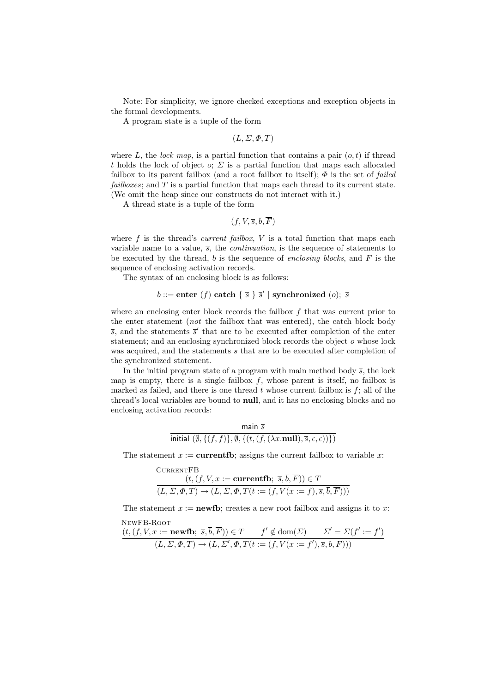Note: For simplicity, we ignore checked exceptions and exception objects in the formal developments.

A program state is a tuple of the form

 $(L, \Sigma, \Phi, T)$ 

where L, the lock map, is a partial function that contains a pair  $(o, t)$  if thread t holds the lock of object  $o: \Sigma$  is a partial function that maps each allocated failbox to its parent failbox (and a root failbox to itself);  $\Phi$  is the set of *failed* failboxes; and  $T$  is a partial function that maps each thread to its current state. (We omit the heap since our constructs do not interact with it.)

A thread state is a tuple of the form

$$
(f, V, \overline{s}, \overline{b}, \overline{F})
$$

where  $f$  is the thread's *current failbox*,  $V$  is a total function that maps each variable name to a value,  $\bar{s}$ , the *continuation*, is the sequence of statements to be executed by the thread,  $\bar{b}$  is the sequence of enclosing blocks, and  $\bar{F}$  is the sequence of enclosing activation records.

The syntax of an enclosing block is as follows:

$$
b ::=
$$
enter  $(f)$  catch  $\{\overline{s}\}\$   $\overline{s}'$  | synchronized  $(o)$ ;  $\overline{s}$ 

where an enclosing enter block records the failbox  $f$  that was current prior to the enter statement (not the failbox that was entered), the catch block body  $\overline{s}$ , and the statements  $\overline{s}'$  that are to be executed after completion of the enter statement; and an enclosing synchronized block records the object o whose lock was acquired, and the statements  $\bar{s}$  that are to be executed after completion of the synchronized statement.

In the initial program state of a program with main method body  $\bar{s}$ , the lock map is empty, there is a single failbox  $f$ , whose parent is itself, no failbox is marked as failed, and there is one thread  $t$  whose current failbox is  $f$ ; all of the thread's local variables are bound to null, and it has no enclosing blocks and no enclosing activation records:

$$
\frac{\text{main } \overline{s}}{\text{initial }(\emptyset,\{ (f,f) \},\emptyset,\{ (t,(f,(\lambda x.\textbf{null}),\overline{s},\epsilon,\epsilon))\})}
$$

The statement  $x :=$  **currentfb**; assigns the current failbox to variable  $x$ :

$$
\text{CurrentFB} \frac{(t, (f, V, x := \text{currentfb}; \overline{s}, \overline{b}, \overline{F})) \in T}{(L, \Sigma, \Phi, T) \to (L, \Sigma, \Phi, T(t := (f, V(x := f), \overline{s}, \overline{b}, \overline{F})))}
$$

The statement  $x := \textbf{newfb}$ ; creates a new root failbox and assigns it to x: NewFB-Root

$$
\frac{(t,(f,V,x:=\mathbf{newfb};\ \bar{s},\bar{b},\overline{F}))\in T\qquad f'\notin \text{dom}(\Sigma)\qquad \Sigma'=\Sigma(f':=f')}{(L,\Sigma,\Phi,T)\rightarrow (L,\Sigma',\Phi,T(t:=(f,V(x:=f'),\bar{s},\bar{b},\overline{F})))}
$$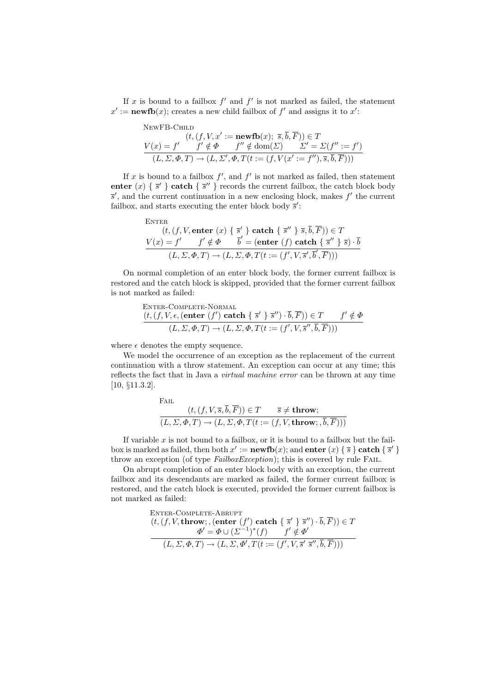If x is bound to a failbox  $f'$  and  $f'$  is not marked as failed, the statement  $x' := \textbf{newfb}(x)$ ; creates a new child failbox of f' and assigns it to x':

NEWFB-CHILD  
\n
$$
(t, (f, V, x' := \mathbf{newfb}(x); \overline{s}, \overline{b}, \overline{F})) \in T
$$
\n
$$
\frac{V(x) = f' \qquad f' \notin \Phi \qquad f'' \notin \text{dom}(\Sigma) \qquad \Sigma' = \Sigma(f'':= f')
$$
\n
$$
(L, \Sigma, \Phi, T) \to (L, \Sigma', \Phi, T(t := (f, V(x' := f''), \overline{s}, \overline{b}, \overline{F})))
$$

If x is bound to a failbox  $f'$ , and  $f'$  is not marked as failed, then statement enter  $(x) \{ \overline{s}' \}$  catch  $\{ \overline{s}'' \}$  records the current failbox, the catch block body  $\bar{s}'$ , and the current continuation in a new enclosing block, makes  $f'$  the current failbox, and starts executing the enter block body  $\bar{s}'$ :

ENTER

\n
$$
(t, (f, V, \text{enter } (x) \{ \overline{s}' \} \text{ catch } \{ \overline{s}'' \} \overline{s}, \overline{b}, \overline{F})) \in T
$$
\n
$$
\frac{V(x) = f' \qquad f' \notin \Phi \qquad \overline{b}' = (\text{enter } (f) \text{ catch } \{ \overline{s}'' \} \overline{s}) \cdot \overline{b}}{(L, \Sigma, \Phi, T) \to (L, \Sigma, \Phi, T(t := (f', V, \overline{s}', \overline{b}')))}
$$

On normal completion of an enter block body, the former current failbox is restored and the catch block is skipped, provided that the former current failbox is not marked as failed:

ENTER-COMPLETE-NORMAL  
\n
$$
\frac{(t,(f,V,\epsilon,(\mathbf{enter}(f')\mathbf{catch}\{ \overline{s}' \} \overline{s}'')\cdot\overline{b},\overline{F}))\in T \qquad f'\notin \Phi}{(L,\Sigma,\Phi,T)\rightarrow (L,\Sigma,\Phi,T(t:=(f',V,\overline{s}'',\overline{b},\overline{F})))}
$$

where  $\epsilon$  denotes the empty sequence.

We model the occurrence of an exception as the replacement of the current continuation with a throw statement. An exception can occur at any time; this reflects the fact that in Java a virtual machine error can be thrown at any time [10, §11.3.2].

FAIL  
\n
$$
(t, (f, V, \overline{s}, \overline{b}, \overline{F})) \in T
$$
  $\overline{s} \neq$  throw;  
\n $(L, \Sigma, \Phi, T) \rightarrow (L, \Sigma, \Phi, T(t := (f, V, \text{throw}; \overline{b}, \overline{F})))$ 

If variable  $x$  is not bound to a failbox, or it is bound to a failbox but the failbox is marked as failed, then both  $x' := \textbf{newfb}(x)$ ; and enter  $(x) \{\overline{s}\}$  catch  $\{\overline{s}'\}$ throw an exception (of type FailboxException); this is covered by rule FAIL.

On abrupt completion of an enter block body with an exception, the current failbox and its descendants are marked as failed, the former current failbox is restored, and the catch block is executed, provided the former current failbox is not marked as failed:

ENTER-COMPLETE-ABRUPT  
\n
$$
(t, (f, V, \mathbf{throw}; , (\mathbf{enter} (f') \mathbf{catch} \{ \overline{s}' \} \overline{s}'') \cdot \overline{b}, \overline{F})) \in T
$$
\n
$$
\overline{\Phi'} = \Phi \cup (\Sigma^{-1})^*(f) \qquad f' \notin \Phi'
$$
\n
$$
(L, \Sigma, \Phi, T) \rightarrow (L, \Sigma, \Phi', T(t := (f', V, \overline{s}' \overline{s}'', \overline{b}, \overline{F})))
$$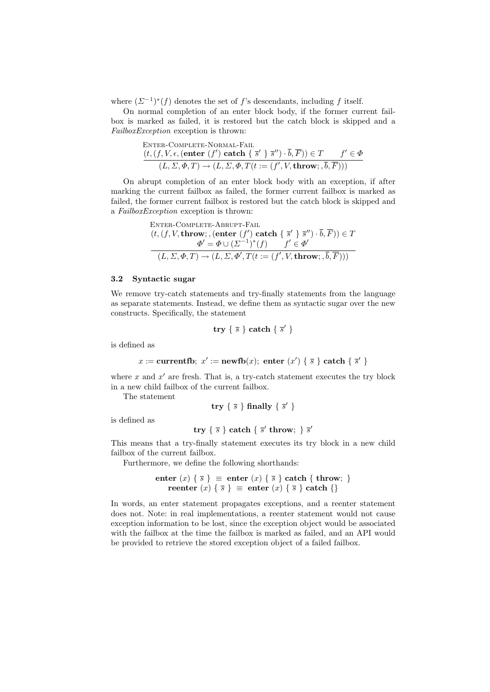where  $(\Sigma^{-1})^*(f)$  denotes the set of f's descendants, including f itself.

On normal completion of an enter block body, if the former current failbox is marked as failed, it is restored but the catch block is skipped and a FailboxException exception is thrown:

ENTER-COMPLETE-NORMAL-FAIL  
\n
$$
(t, (f, V, \epsilon, (\text{enter } (f') \text{ catch } \{\overline{s}'\} \overline{s}'') \cdot \overline{b}, \overline{F})) \in T
$$
  $f' \in \Phi$   
\n $(L, \Sigma, \Phi, T) \rightarrow (L, \Sigma, \Phi, T(t := (f', V, \text{throw}; \overline{b}, \overline{F})))$ 

On abrupt completion of an enter block body with an exception, if after marking the current failbox as failed, the former current failbox is marked as failed, the former current failbox is restored but the catch block is skipped and a FailboxException exception is thrown:

$$
\text{ENTER-Complet} = \text{ABRup} + \text{Fall} \quad (t, (f, V, \text{throw}); (\text{enter } (f') \text{ catch } \{ \overline{s}' \} \overline{s}'') \cdot \overline{b}, \overline{F})) \in T \\ \frac{\Phi' = \Phi \cup (\Sigma^{-1})^*(f)}{(L, \Sigma, \Phi, T) \rightarrow (L, \Sigma, \Phi', T(t := (f', V, \text{throw}); \overline{b}, \overline{F})))}
$$

#### 3.2 Syntactic sugar

We remove try-catch statements and try-finally statements from the language as separate statements. Instead, we define them as syntactic sugar over the new constructs. Specifically, the statement

try 
$$
\{\overline{s}\}
$$
 catch  $\{\overline{s}'\}$ 

is defined as

$$
x :=
$$
currentfb;  $x' :=$ newfb $(x)$ ; enter  $(x') \{\overline{s}\}$  catch  $\{\overline{s}'\}$ 

where  $x$  and  $x'$  are fresh. That is, a try-catch statement executes the try block in a new child failbox of the current failbox.

The statement

try { 
$$
\overline{s}
$$
 } finally {  $\overline{s}'$  }

is defined as

$$
\mathbf{try}\Set{\overline{s}}\mathbf{ackh}\Set{\overline{s}^\prime\mathbf{throw}; }}{\overline{s}^\prime}
$$

This means that a try-finally statement executes its try block in a new child failbox of the current failbox.

Furthermore, we define the following shorthands:

$$
\begin{array}{ll}\text{enter (x) { } \overline{s} } & \equiv \text{ enter (x) { } \overline{s} } \text{ } \text{ catch { throw; }} \\ \text{reenter (x) { } \overline{s} } & \equiv \text{ enter (x) { } \overline{s} } \text{ } \text{ catch {}} \end{array}
$$

In words, an enter statement propagates exceptions, and a reenter statement does not. Note: in real implementations, a reenter statement would not cause exception information to be lost, since the exception object would be associated with the failbox at the time the failbox is marked as failed, and an API would be provided to retrieve the stored exception object of a failed failbox.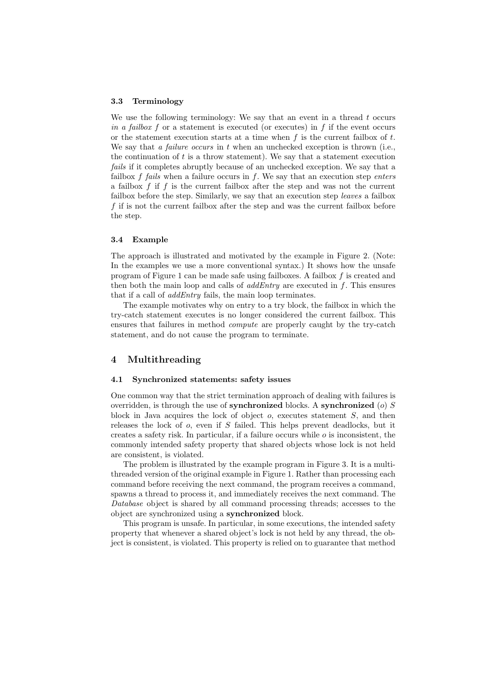#### 3.3 Terminology

We use the following terminology: We say that an event in a thread  $t$  occurs in a failbox f or a statement is executed (or executes) in f if the event occurs or the statement execution starts at a time when  $f$  is the current failbox of  $t$ . We say that a *failure occurs* in  $t$  when an unchecked exception is thrown (i.e., the continuation of  $t$  is a throw statement). We say that a statement execution fails if it completes abruptly because of an unchecked exception. We say that a failbox  $f$  fails when a failure occurs in  $f$ . We say that an execution step enters a failbox  $f$  if  $f$  is the current failbox after the step and was not the current failbox before the step. Similarly, we say that an execution step leaves a failbox f if is not the current failbox after the step and was the current failbox before the step.

#### 3.4 Example

The approach is illustrated and motivated by the example in Figure 2. (Note: In the examples we use a more conventional syntax.) It shows how the unsafe program of Figure 1 can be made safe using failboxes. A failbox f is created and then both the main loop and calls of  $addEntry$  are executed in f. This ensures that if a call of addEntry fails, the main loop terminates.

The example motivates why on entry to a try block, the failbox in which the try-catch statement executes is no longer considered the current failbox. This ensures that failures in method compute are properly caught by the try-catch statement, and do not cause the program to terminate.

## 4 Multithreading

#### 4.1 Synchronized statements: safety issues

One common way that the strict termination approach of dealing with failures is overridden, is through the use of **synchronized** blocks. A **synchronized** ( $o$ ) S block in Java acquires the lock of object  $o$ , executes statement  $S$ , and then releases the lock of o, even if S failed. This helps prevent deadlocks, but it creates a safety risk. In particular, if a failure occurs while  $o$  is inconsistent, the commonly intended safety property that shared objects whose lock is not held are consistent, is violated.

The problem is illustrated by the example program in Figure 3. It is a multithreaded version of the original example in Figure 1. Rather than processing each command before receiving the next command, the program receives a command, spawns a thread to process it, and immediately receives the next command. The Database object is shared by all command processing threads; accesses to the object are synchronized using a synchronized block.

This program is unsafe. In particular, in some executions, the intended safety property that whenever a shared object's lock is not held by any thread, the object is consistent, is violated. This property is relied on to guarantee that method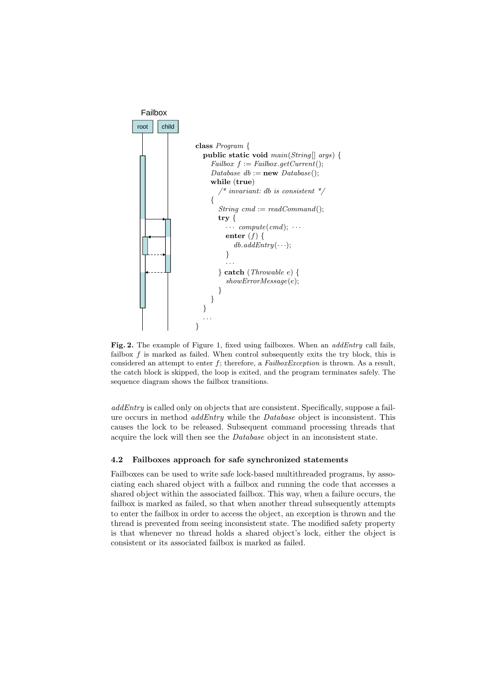

Fig. 2. The example of Figure 1, fixed using failboxes. When an  $addEntry$  call fails, failbox f is marked as failed. When control subsequently exits the try block, this is considered an attempt to enter  $f$ ; therefore, a  $FailboxException$  is thrown. As a result, the catch block is skipped, the loop is exited, and the program terminates safely. The sequence diagram shows the failbox transitions.

addEntry is called only on objects that are consistent. Specifically, suppose a failure occurs in method *addEntry* while the *Database* object is inconsistent. This causes the lock to be released. Subsequent command processing threads that acquire the lock will then see the Database object in an inconsistent state.

#### 4.2 Failboxes approach for safe synchronized statements

Failboxes can be used to write safe lock-based multithreaded programs, by associating each shared object with a failbox and running the code that accesses a shared object within the associated failbox. This way, when a failure occurs, the failbox is marked as failed, so that when another thread subsequently attempts to enter the failbox in order to access the object, an exception is thrown and the thread is prevented from seeing inconsistent state. The modified safety property is that whenever no thread holds a shared object's lock, either the object is consistent or its associated failbox is marked as failed.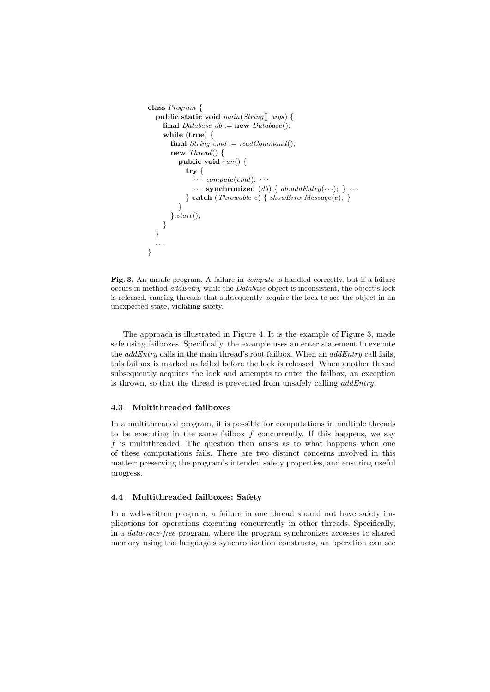```
class Program {
  public static void main(String[] args) {
    final Database db := new\ Database();while (true) {
      final String cmd := readCommand();new Thread() {
         public void run() {
           try {
              \cdots compute(cmd); \cdots\cdots synchronized (db) { db.addEntry(\cdots); } \cdots\} catch (Throwable e) { showErrorMessage(e); }
         }
       \} . start();}
  }
  . . .
}
```
Fig. 3. An unsafe program. A failure in *compute* is handled correctly, but if a failure occurs in method addEntry while the Database object is inconsistent, the object's lock is released, causing threads that subsequently acquire the lock to see the object in an unexpected state, violating safety.

The approach is illustrated in Figure 4. It is the example of Figure 3, made safe using failboxes. Specifically, the example uses an enter statement to execute the  $addEntry$  calls in the main thread's root failbox. When an  $addEntry$  call fails, this failbox is marked as failed before the lock is released. When another thread subsequently acquires the lock and attempts to enter the failbox, an exception is thrown, so that the thread is prevented from unsafely calling addEntry.

#### 4.3 Multithreaded failboxes

In a multithreaded program, it is possible for computations in multiple threads to be executing in the same failbox  $f$  concurrently. If this happens, we say  $f$  is multithreaded. The question then arises as to what happens when one of these computations fails. There are two distinct concerns involved in this matter: preserving the program's intended safety properties, and ensuring useful progress.

#### 4.4 Multithreaded failboxes: Safety

In a well-written program, a failure in one thread should not have safety implications for operations executing concurrently in other threads. Specifically, in a data-race-free program, where the program synchronizes accesses to shared memory using the language's synchronization constructs, an operation can see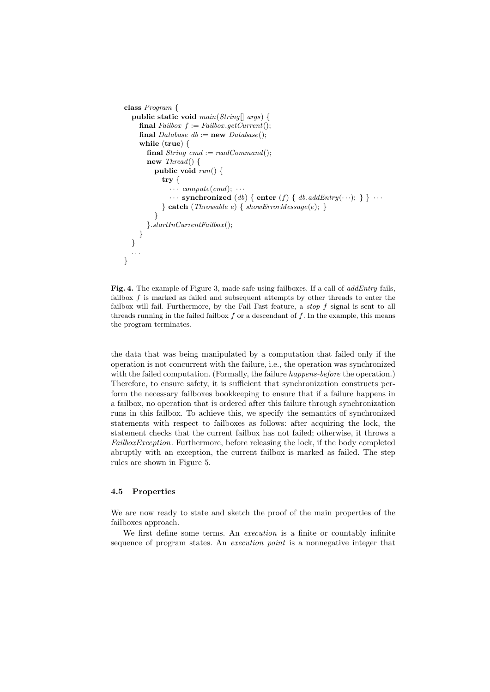```
class Program {
  public static void main(String[] args) {
    final Failbox f := \text{Failbox.getCurrent};
    final Database db := new\ Database();while (true) {
       final String cmd := readCommand();new Thread() {
         public void run() {
           try {
              \cdots compute(cmd); \cdots\cdots synchronized (db) { enter (f) { db.addEntry(\cdots); } } \cdots\} catch (Throwable e) { showErrorMessage(e); }
         }
       }.startInCurrentFailbox();}
  }
  . . .
}
```
Fig. 4. The example of Figure 3, made safe using failboxes. If a call of *addEntry* fails, failbox f is marked as failed and subsequent attempts by other threads to enter the failbox will fail. Furthermore, by the Fail Fast feature, a *stop* f signal is sent to all threads running in the failed failbox  $f$  or a descendant of  $f$ . In the example, this means the program terminates.

the data that was being manipulated by a computation that failed only if the operation is not concurrent with the failure, i.e., the operation was synchronized with the failed computation. (Formally, the failure *happens-before* the operation.) Therefore, to ensure safety, it is sufficient that synchronization constructs perform the necessary failboxes bookkeeping to ensure that if a failure happens in a failbox, no operation that is ordered after this failure through synchronization runs in this failbox. To achieve this, we specify the semantics of synchronized statements with respect to failboxes as follows: after acquiring the lock, the statement checks that the current failbox has not failed; otherwise, it throws a FailboxException. Furthermore, before releasing the lock, if the body completed abruptly with an exception, the current failbox is marked as failed. The step rules are shown in Figure 5.

#### 4.5 Properties

We are now ready to state and sketch the proof of the main properties of the failboxes approach.

We first define some terms. An execution is a finite or countably infinite sequence of program states. An *execution point* is a nonnegative integer that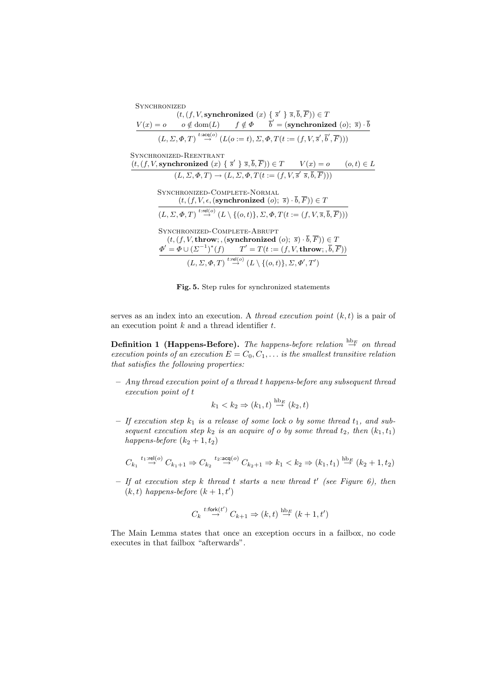| <b>SYNCHRONIZED</b>                                                                                                                    |                                                                                                                                  |  |  |                                                                                                                                                                                                                                     |  |  |
|----------------------------------------------------------------------------------------------------------------------------------------|----------------------------------------------------------------------------------------------------------------------------------|--|--|-------------------------------------------------------------------------------------------------------------------------------------------------------------------------------------------------------------------------------------|--|--|
| $(t, (f, V, \textbf{synchronized } (x) \{ \overline{s}' \} \overline{s}, \overline{b}, \overline{F})) \in T$                           |                                                                                                                                  |  |  |                                                                                                                                                                                                                                     |  |  |
| $V(x) = 0$ $o \notin \text{dom}(L)$ $f \notin \Phi$ $\overline{b}' = (\textbf{synchronized}(o); \overline{s}) \cdot \overline{b}$      |                                                                                                                                  |  |  |                                                                                                                                                                                                                                     |  |  |
|                                                                                                                                        |                                                                                                                                  |  |  | $(L, \Sigma, \Phi, T) \stackrel{t:\text{acq}(o)}{\rightarrow} (L(o:=t), \Sigma, \Phi, T(t:=(f, V, \overline{s}', \overline{b}', \overline{F})))$                                                                                    |  |  |
| SYNCHRONIZED-REENTRANT                                                                                                                 |                                                                                                                                  |  |  |                                                                                                                                                                                                                                     |  |  |
| $(t, (f, V, \textbf{synchnonized } (x) \{ \overline{s}' \} \overline{s}, \overline{b}, \overline{F})) \in T$ $V(x) = o$ $(o, t) \in L$ |                                                                                                                                  |  |  |                                                                                                                                                                                                                                     |  |  |
|                                                                                                                                        |                                                                                                                                  |  |  | $(L, \Sigma, \Phi, T) \rightarrow (L, \Sigma, \Phi, T(t := (f, V, \overline{s}' \overline{s}, \overline{b}, \overline{F})))$                                                                                                        |  |  |
|                                                                                                                                        | SYNCHRONIZED-COMPLETE-NORMAL<br>$(t, (f, V, \epsilon, (synchronized (o); \overline{s}) \cdot \overline{b}, \overline{F})) \in T$ |  |  |                                                                                                                                                                                                                                     |  |  |
|                                                                                                                                        |                                                                                                                                  |  |  | $(L, \Sigma, \Phi, T) \stackrel{t:rel(o)}{\rightarrow} (L \setminus \{(o, t)\}, \Sigma, \Phi, T(t := (f, V, \overline{s}, \overline{b}, \overline{F})))$                                                                            |  |  |
|                                                                                                                                        | SYNCHRONIZED-COMPLETE-ABRUPT                                                                                                     |  |  | $(t, (f, V, \textbf{throw}; , (\textbf{synchronized } (o); \overline{s}) \cdot \overline{b}, \overline{F})) \in T$<br>$\Phi' = \Phi \cup (\Sigma^{-1})^*(f) \qquad T' = T(t := (f, V, \mathbf{throw}; \overline{b}, \overline{F}))$ |  |  |
|                                                                                                                                        | $(L, \Sigma, \Phi, T) \stackrel{t:rel(o)}{\rightarrow} (L \setminus \{(o, t)\}, \Sigma, \Phi', T')$                              |  |  |                                                                                                                                                                                                                                     |  |  |

Fig. 5. Step rules for synchronized statements

serves as an index into an execution. A *thread execution point*  $(k, t)$  is a pair of an execution point  $k$  and a thread identifier  $t$ .

**Definition 1 (Happens-Before).** The happens-before relation  $\stackrel{\text{hb}_E}{\rightarrow}$  on thread execution points of an execution  $E = C_0, C_1, \ldots$  is the smallest transitive relation that satisfies the following properties:

– Any thread execution point of a thread t happens-before any subsequent thread execution point of t

$$
k_1 < k_2 \Rightarrow (k_1, t) \stackrel{\text{hb}_E}{\rightarrow} (k_2, t)
$$

– If execution step  $k_1$  is a release of some lock o by some thread  $t_1$ , and subsequent execution step  $k_2$  is an acquire of o by some thread  $t_2$ , then  $(k_1, t_1)$ happens-before  $(k_2 + 1, t_2)$ 

$$
C_{k_1} \stackrel{t_1:\text{rel}(o)}{\rightarrow} C_{k_1+1} \Rightarrow C_{k_2} \stackrel{t_2:\text{acq}(o)}{\rightarrow} C_{k_2+1} \Rightarrow k_1 < k_2 \Rightarrow (k_1, t_1) \stackrel{\text{hb}_E}{\rightarrow} (k_2+1, t_2)
$$

 $-$  If at execution step k thread t starts a new thread t' (see Figure 6), then  $(k, t)$  happens-before  $(k + 1, t')$ 

$$
C_k \stackrel{t:\mathsf{fork}(t')}{\to} C_{k+1} \Rightarrow (k,t) \stackrel{\mathrm{hb}_E}{\to} (k+1,t')
$$

The Main Lemma states that once an exception occurs in a failbox, no code executes in that failbox "afterwards".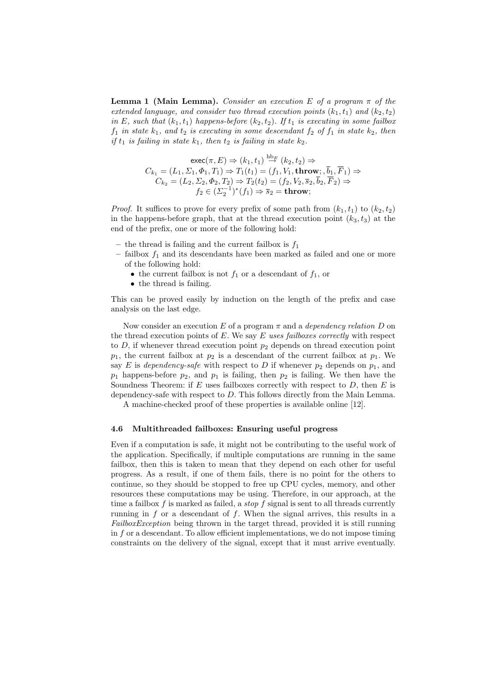**Lemma 1 (Main Lemma).** Consider an execution E of a program  $\pi$  of the extended language, and consider two thread execution points  $(k_1, t_1)$  and  $(k_2, t_2)$ in E, such that  $(k_1, t_1)$  happens-before  $(k_2, t_2)$ . If  $t_1$  is executing in some failbox  $f_1$  in state  $k_1$ , and  $t_2$  is executing in some descendant  $f_2$  of  $f_1$  in state  $k_2$ , then if  $t_1$  is failing in state  $k_1$ , then  $t_2$  is failing in state  $k_2$ .

$$
\csc(\pi, E) \Rightarrow (k_1, t_1) \stackrel{\text{the}}{\rightarrow} (k_2, t_2) \Rightarrow
$$
\n
$$
C_{k_1} = (L_1, \Sigma_1, \Phi_1, T_1) \Rightarrow T_1(t_1) = (f_1, V_1, \text{throw}; \overline{b}_1, \overline{F}_1) \Rightarrow
$$
\n
$$
C_{k_2} = (L_2, \Sigma_2, \Phi_2, T_2) \Rightarrow T_2(t_2) = (f_2, V_2, \overline{s}_2, \overline{b}_2, \overline{F}_2) \Rightarrow
$$
\n
$$
f_2 \in (\Sigma_2^{-1})^*(f_1) \Rightarrow \overline{s}_2 = \text{throw};
$$

*Proof.* It suffices to prove for every prefix of some path from  $(k_1, t_1)$  to  $(k_2, t_2)$ in the happens-before graph, that at the thread execution point  $(k_3, t_3)$  at the end of the prefix, one or more of the following hold:

- the thread is failing and the current failbox is  $f_1$
- failbox  $f_1$  and its descendants have been marked as failed and one or more of the following hold:
	- the current failbox is not  $f_1$  or a descendant of  $f_1$ , or
	- the thread is failing.

This can be proved easily by induction on the length of the prefix and case analysis on the last edge.

Now consider an execution E of a program  $\pi$  and a *dependency relation* D on the thread execution points of  $E$ . We say  $E$  uses failboxes correctly with respect to  $D$ , if whenever thread execution point  $p_2$  depends on thread execution point  $p_1$ , the current failbox at  $p_2$  is a descendant of the current failbox at  $p_1$ . We say E is dependency-safe with respect to D if whenever  $p_2$  depends on  $p_1$ , and  $p_1$  happens-before  $p_2$ , and  $p_1$  is failing, then  $p_2$  is failing. We then have the Soundness Theorem: if E uses failboxes correctly with respect to  $D$ , then E is dependency-safe with respect to D. This follows directly from the Main Lemma.

A machine-checked proof of these properties is available online [12].

#### 4.6 Multithreaded failboxes: Ensuring useful progress

Even if a computation is safe, it might not be contributing to the useful work of the application. Specifically, if multiple computations are running in the same failbox, then this is taken to mean that they depend on each other for useful progress. As a result, if one of them fails, there is no point for the others to continue, so they should be stopped to free up CPU cycles, memory, and other resources these computations may be using. Therefore, in our approach, at the time a failbox  $f$  is marked as failed, a *stop*  $f$  signal is sent to all threads currently running in  $f$  or a descendant of  $f$ . When the signal arrives, this results in a FailboxException being thrown in the target thread, provided it is still running in  $f$  or a descendant. To allow efficient implementations, we do not impose timing constraints on the delivery of the signal, except that it must arrive eventually.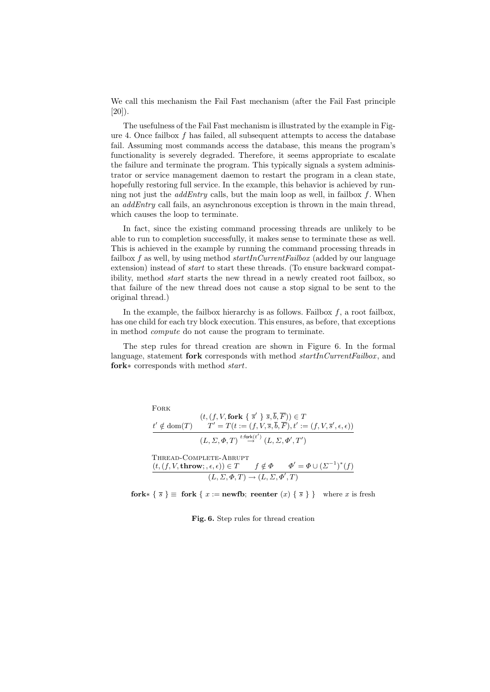We call this mechanism the Fail Fast mechanism (after the Fail Fast principle  $[20]$ ).

The usefulness of the Fail Fast mechanism is illustrated by the example in Figure 4. Once failbox  $f$  has failed, all subsequent attempts to access the database fail. Assuming most commands access the database, this means the program's functionality is severely degraded. Therefore, it seems appropriate to escalate the failure and terminate the program. This typically signals a system administrator or service management daemon to restart the program in a clean state, hopefully restoring full service. In the example, this behavior is achieved by running not just the  $addEntry$  calls, but the main loop as well, in failbox f. When an  $addEntry$  call fails, an asynchronous exception is thrown in the main thread, which causes the loop to terminate.

In fact, since the existing command processing threads are unlikely to be able to run to completion successfully, it makes sense to terminate these as well. This is achieved in the example by running the command processing threads in failbox f as well, by using method  $startInCurrentFailbox$  (added by our language extension) instead of start to start these threads. (To ensure backward compatibility, method *start* starts the new thread in a newly created root failbox, so that failure of the new thread does not cause a stop signal to be sent to the original thread.)

In the example, the failbox hierarchy is as follows. Failbox  $f$ , a root failbox, has one child for each try block execution. This ensures, as before, that exceptions in method compute do not cause the program to terminate.

The step rules for thread creation are shown in Figure 6. In the formal language, statement fork corresponds with method  $startInCurrentFailbox$ , and fork∗ corresponds with method start.

Fork

$$
\frac{t'\notin \text{dom}(T) \qquad T'=T(t:= (f,V,\overline{s},\overline{b},\overline{F}))\in T}{(L,\Sigma,\varPhi,T) \stackrel{t:\text{for}(t')}{\longrightarrow} (L,\Sigma,\varPhi',T') } \quad \frac{(L,\Sigma,\varPhi',T')}{(L,\Sigma,\varPhi',T')}
$$

Thread-Complete-Abrupt  $(t, (f, V, \mathbf{throw}; \epsilon, \epsilon)) \in T$   $f \notin \Phi$   $\Phi' = \Phi \cup (\Sigma^{-1})^*(f)$  $(L, \Sigma, \Phi, T) \rightarrow (L, \Sigma, \Phi', T)$ 

fork∗ {  $\overline{s}$  }  $\equiv$  fork {  $x := \text{newfb}$ ; reenter  $(x)$  {  $\overline{s}$  } } where x is fresh

Fig. 6. Step rules for thread creation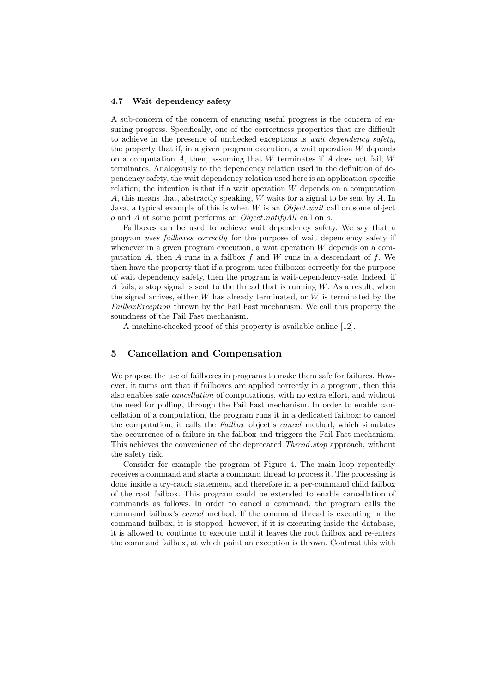#### 4.7 Wait dependency safety

A sub-concern of the concern of ensuring useful progress is the concern of ensuring progress. Specifically, one of the correctness properties that are difficult to achieve in the presence of unchecked exceptions is wait dependency safety, the property that if, in a given program execution, a wait operation  $W$  depends on a computation  $A$ , then, assuming that  $W$  terminates if  $A$  does not fail,  $W$ terminates. Analogously to the dependency relation used in the definition of dependency safety, the wait dependency relation used here is an application-specific relation; the intention is that if a wait operation  $W$  depends on a computation A, this means that, abstractly speaking, W waits for a signal to be sent by A. In Java, a typical example of this is when  $W$  is an  $Object.wait$  call on some object  $o$  and A at some point performs an *Object.notifyAll* call on  $o$ .

Failboxes can be used to achieve wait dependency safety. We say that a program uses failboxes correctly for the purpose of wait dependency safety if whenever in a given program execution, a wait operation  $W$  depends on a computation  $A$ , then  $A$  runs in a failbox  $f$  and  $W$  runs in a descendant of  $f$ . We then have the property that if a program uses failboxes correctly for the purpose of wait dependency safety, then the program is wait-dependency-safe. Indeed, if A fails, a stop signal is sent to the thread that is running  $W$ . As a result, when the signal arrives, either  $W$  has already terminated, or  $W$  is terminated by the FailboxException thrown by the Fail Fast mechanism. We call this property the soundness of the Fail Fast mechanism.

A machine-checked proof of this property is available online [12].

## 5 Cancellation and Compensation

We propose the use of failboxes in programs to make them safe for failures. However, it turns out that if failboxes are applied correctly in a program, then this also enables safe cancellation of computations, with no extra effort, and without the need for polling, through the Fail Fast mechanism. In order to enable cancellation of a computation, the program runs it in a dedicated failbox; to cancel the computation, it calls the Failbox object's cancel method, which simulates the occurrence of a failure in the failbox and triggers the Fail Fast mechanism. This achieves the convenience of the deprecated Thread.stop approach, without the safety risk.

Consider for example the program of Figure 4. The main loop repeatedly receives a command and starts a command thread to process it. The processing is done inside a try-catch statement, and therefore in a per-command child failbox of the root failbox. This program could be extended to enable cancellation of commands as follows. In order to cancel a command, the program calls the command failbox's cancel method. If the command thread is executing in the command failbox, it is stopped; however, if it is executing inside the database, it is allowed to continue to execute until it leaves the root failbox and re-enters the command failbox, at which point an exception is thrown. Contrast this with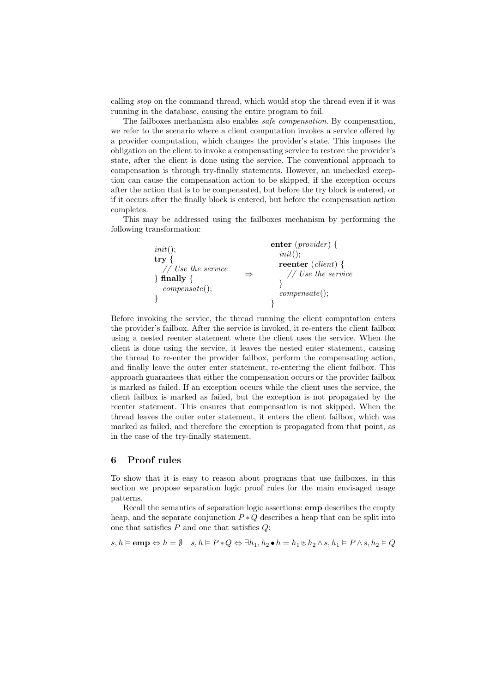calling stop on the command thread, which would stop the thread even if it was running in the database, causing the entire program to fail.

The failboxes mechanism also enables safe compensation. By compensation, we refer to the scenario where a client computation invokes a service offered by a provider computation, which changes the provider's state. This imposes the obligation on the client to invoke a compensating service to restore the provider's state, after the client is done using the service. The conventional approach to compensation is through try-finally statements. However, an unchecked exception can cause the compensation action to be skipped, if the exception occurs after the action that is to be compensated, but before the try block is entered, or if it occurs after the finally block is entered, but before the compensation action completes.

This may be addressed using the failboxes mechanism by performing the following transformation:

| init();              |               | enter (provider) {    |
|----------------------|---------------|-----------------------|
| $\mathbf{try}$ {     |               | $init()$ ;            |
| $//$ Use the service |               | reenter $(client) \{$ |
| $\}$ finally $\{$    | $\Rightarrow$ | $//$ Use the service  |
| $compare \nset($ ;   |               |                       |
|                      |               | compare ();           |
|                      |               |                       |

Before invoking the service, the thread running the client computation enters the provider's failbox. After the service is invoked, it re-enters the client failbox using a nested reenter statement where the client uses the service. When the client is done using the service, it leaves the nested enter statement, causing the thread to re-enter the provider failbox, perform the compensating action, and finally leave the outer enter statement, re-entering the client failbox. This approach guarantees that either the compensation occurs or the provider failbox is marked as failed. If an exception occurs while the client uses the service, the client failbox is marked as failed, but the exception is not propagated by the reenter statement. This ensures that compensation is not skipped. When the thread leaves the outer enter statement, it enters the client failbox, which was marked as failed, and therefore the exception is propagated from that point, as in the case of the try-finally statement.

#### 6 Proof rules

To show that it is easy to reason about programs that use failboxes, in this section we propose separation logic proof rules for the main envisaged usage patterns.

Recall the semantics of separation logic assertions: emp describes the empty heap, and the separate conjunction  $P * Q$  describes a heap that can be split into one that satisfies  $P$  and one that satisfies  $Q$ :

$$
s, h \vDash \textbf{emp} \Leftrightarrow h = \emptyset \quad s, h \vDash P * Q \Leftrightarrow \exists h_1, h_2 \bullet h = h_1 \uplus h_2 \wedge s, h_1 \vDash P \wedge s, h_2 \vDash Q
$$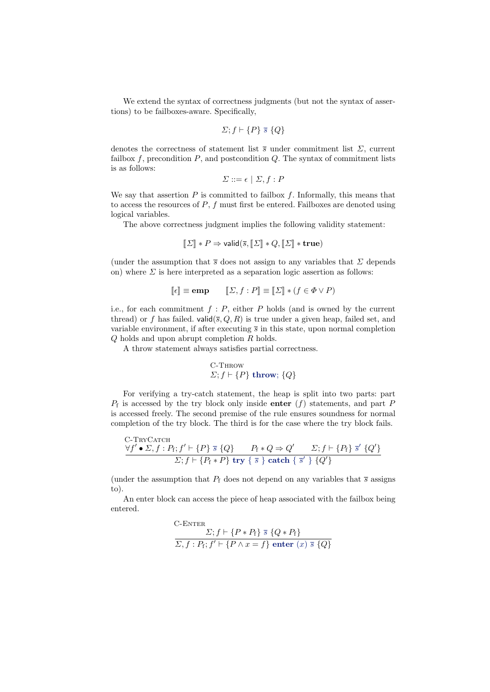We extend the syntax of correctness judgments (but not the syntax of assertions) to be failboxes-aware. Specifically,

$$
\Sigma; f \vdash \{P\} \ \overline{s} \ \{Q\}
$$

denotes the correctness of statement list  $\bar{s}$  under commitment list  $\Sigma$ , current failbox  $f$ , precondition  $P$ , and postcondition  $Q$ . The syntax of commitment lists is as follows:

$$
\Sigma ::= \epsilon \mid \Sigma, f : P
$$

We say that assertion  $P$  is committed to failbox  $f$ . Informally, this means that to access the resources of  $P$ ,  $f$  must first be entered. Failboxes are denoted using logical variables.

The above correctness judgment implies the following validity statement:

$$
[\![\Sigma]\!] * P \Rightarrow \mathsf{valid}(\overline{s}, [\![\Sigma]\!] * Q, [\![\Sigma]\!] * \mathsf{true})
$$

(under the assumption that  $\bar{s}$  does not assign to any variables that  $\Sigma$  depends on) where  $\Sigma$  is here interpreted as a separation logic assertion as follows:

$$
\llbracket \epsilon \rrbracket \equiv \mathbf{emp} \qquad \llbracket \Sigma, f : P \rrbracket \equiv \llbracket \Sigma \rrbracket * (f \in \Phi \lor P)
$$

i.e., for each commitment  $f : P$ , either P holds (and is owned by the current thread) or f has failed. valid $(\bar{s}, Q, R)$  is true under a given heap, failed set, and variable environment, if after executing  $\bar{s}$  in this state, upon normal completion Q holds and upon abrupt completion R holds.

A throw statement always satisfies partial correctness.

C-THRow  

$$
\Sigma
$$
;  $f \vdash \{P\}$  throw;  $\{Q\}$ 

For verifying a try-catch statement, the heap is split into two parts: part  $P_f$  is accessed by the try block only inside enter  $(f)$  statements, and part  $P$ is accessed freely. The second premise of the rule ensures soundness for normal completion of the try block. The third is for the case where the try block fails.

C-TRYCATOR  
\n
$$
\frac{\forall f' \bullet \Sigma, f : P_f; f' \vdash \{P\} \overline{s} \{Q\}}{\Sigma; f \vdash \{P_f * P\} \text{ try } \{\overline{s}\} \text{ catch } \{\overline{s}'\} \{Q'\}}.
$$

(under the assumption that  $P_f$  does not depend on any variables that  $\bar{s}$  assigns to).

An enter block can access the piece of heap associated with the failbox being entered.

C-ENTER  
\n
$$
\Sigma; f \vdash \{P * P_f\} \overline{s} \{Q * P_f\}
$$
\n
$$
\overline{\Sigma, f : P_f; f' \vdash \{P \land x = f\} \text{ enter } (x) \overline{s} \{Q\}}
$$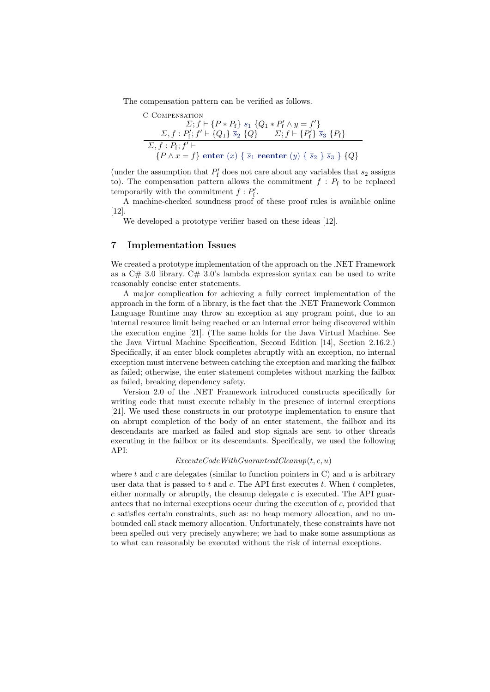The compensation pattern can be verified as follows.

C-COMPENSATION  
\n
$$
\Sigma; f \vdash \{P * P_f\} \overline{s}_1 \{Q_1 * P'_f \land y = f'\}
$$
\n
$$
\frac{\Sigma, f : P'_f; f' \vdash \{Q_1\} \overline{s}_2 \{Q\}}{\Sigma, f : P_f; f' \vdash}
$$
\n
$$
\frac{\Sigma, f : P_f; f' \vdash}{\{P \land x = f\} \text{ enter } (x) \{ \overline{s}_1 \text{ reenter } (y) \{ \overline{s}_2 \} \overline{s}_3 \} \{Q\}}
$$

(under the assumption that  $P'_{\rm f}$  does not care about any variables that  $\overline{s}_2$  assigns to). The compensation pattern allows the commitment  $f : P_f$  to be replaced temporarily with the commitment  $f : P'_f$ .

A machine-checked soundness proof of these proof rules is available online  $[12]$ 

We developed a prototype verifier based on these ideas [12].

### 7 Implementation Issues

We created a prototype implementation of the approach on the .NET Framework as a  $C#$  3.0 library.  $C#$  3.0's lambda expression syntax can be used to write reasonably concise enter statements.

A major complication for achieving a fully correct implementation of the approach in the form of a library, is the fact that the .NET Framework Common Language Runtime may throw an exception at any program point, due to an internal resource limit being reached or an internal error being discovered within the execution engine [21]. (The same holds for the Java Virtual Machine. See the Java Virtual Machine Specification, Second Edition [14], Section 2.16.2.) Specifically, if an enter block completes abruptly with an exception, no internal exception must intervene between catching the exception and marking the failbox as failed; otherwise, the enter statement completes without marking the failbox as failed, breaking dependency safety.

Version 2.0 of the .NET Framework introduced constructs specifically for writing code that must execute reliably in the presence of internal exceptions [21]. We used these constructs in our prototype implementation to ensure that on abrupt completion of the body of an enter statement, the failbox and its descendants are marked as failed and stop signals are sent to other threads executing in the failbox or its descendants. Specifically, we used the following API:

#### $ExecuteCodeWithGuaranteedCleanup(t, c, u)$

where  $t$  and  $c$  are delegates (similar to function pointers in C) and  $u$  is arbitrary user data that is passed to t and c. The API first executes t. When t completes, either normally or abruptly, the cleanup delegate  $c$  is executed. The API guarantees that no internal exceptions occur during the execution of c, provided that  $c$  satisfies certain constraints, such as: no heap memory allocation, and no unbounded call stack memory allocation. Unfortunately, these constraints have not been spelled out very precisely anywhere; we had to make some assumptions as to what can reasonably be executed without the risk of internal exceptions.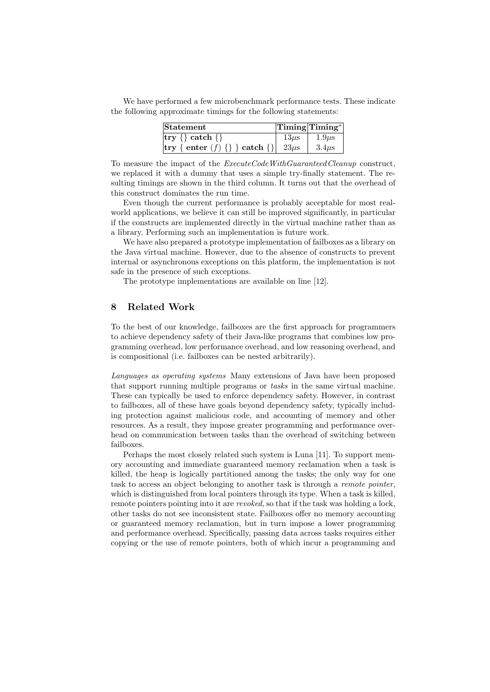We have performed a few microbenchmark performance tests. These indicate the following approximate timings for the following statements:

| Statement                       |           | Timing Timing* |
|---------------------------------|-----------|----------------|
| $\{try\}$ catch $\{\}$          | $13\mu s$ | $1.9 \mu s$    |
| try { enter $(f)$ {} } catch {} | $23\mu s$ | $3.4\mu s$     |

To measure the impact of the *ExecuteCodeWithGuaranteedCleanup* construct, we replaced it with a dummy that uses a simple try-finally statement. The resulting timings are shown in the third column. It turns out that the overhead of this construct dominates the run time.

Even though the current performance is probably acceptable for most realworld applications, we believe it can still be improved significantly, in particular if the constructs are implemented directly in the virtual machine rather than as a library. Performing such an implementation is future work.

We have also prepared a prototype implementation of failboxes as a library on the Java virtual machine. However, due to the absence of constructs to prevent internal or asynchronous exceptions on this platform, the implementation is not safe in the presence of such exceptions.

The prototype implementations are available on line [12].

### 8 Related Work

To the best of our knowledge, failboxes are the first approach for programmers to achieve dependency safety of their Java-like programs that combines low programming overhead, low performance overhead, and low reasoning overhead, and is compositional (i.e. failboxes can be nested arbitrarily).

Languages as operating systems Many extensions of Java have been proposed that support running multiple programs or tasks in the same virtual machine. These can typically be used to enforce dependency safety. However, in contrast to failboxes, all of these have goals beyond dependency safety, typically including protection against malicious code, and accounting of memory and other resources. As a result, they impose greater programming and performance overhead on communication between tasks than the overhead of switching between failboxes.

Perhaps the most closely related such system is Luna [11]. To support memory accounting and immediate guaranteed memory reclamation when a task is killed, the heap is logically partitioned among the tasks; the only way for one task to access an object belonging to another task is through a remote pointer, which is distinguished from local pointers through its type. When a task is killed, remote pointers pointing into it are *revoked*, so that if the task was holding a lock, other tasks do not see inconsistent state. Failboxes offer no memory accounting or guaranteed memory reclamation, but in turn impose a lower programming and performance overhead. Specifically, passing data across tasks requires either copying or the use of remote pointers, both of which incur a programming and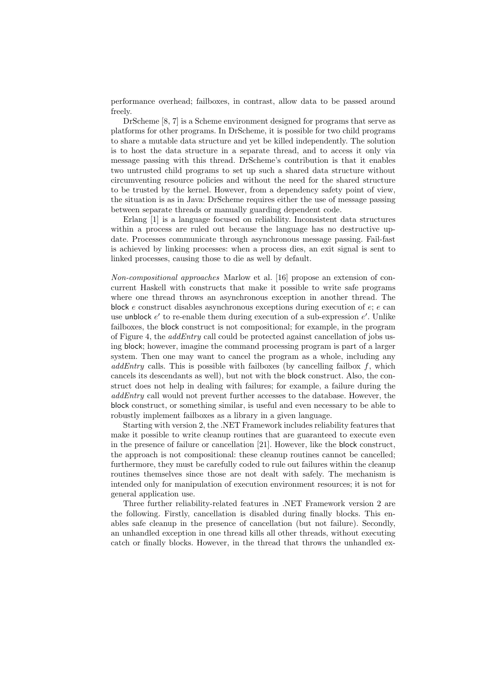performance overhead; failboxes, in contrast, allow data to be passed around freely.

DrScheme [8, 7] is a Scheme environment designed for programs that serve as platforms for other programs. In DrScheme, it is possible for two child programs to share a mutable data structure and yet be killed independently. The solution is to host the data structure in a separate thread, and to access it only via message passing with this thread. DrScheme's contribution is that it enables two untrusted child programs to set up such a shared data structure without circumventing resource policies and without the need for the shared structure to be trusted by the kernel. However, from a dependency safety point of view, the situation is as in Java: DrScheme requires either the use of message passing between separate threads or manually guarding dependent code.

Erlang [1] is a language focused on reliability. Inconsistent data structures within a process are ruled out because the language has no destructive update. Processes communicate through asynchronous message passing. Fail-fast is achieved by linking processes: when a process dies, an exit signal is sent to linked processes, causing those to die as well by default.

Non-compositional approaches Marlow et al. [16] propose an extension of concurrent Haskell with constructs that make it possible to write safe programs where one thread throws an asynchronous exception in another thread. The block  $e$  construct disables asynchronous exceptions during execution of  $e$ ;  $e$  can use unblock  $e'$  to re-enable them during execution of a sub-expression  $e'$ . Unlike failboxes, the block construct is not compositional; for example, in the program of Figure 4, the addEntry call could be protected against cancellation of jobs using block; however, imagine the command processing program is part of a larger system. Then one may want to cancel the program as a whole, including any  $addEntry$  calls. This is possible with failboxes (by cancelling failbox f, which cancels its descendants as well), but not with the block construct. Also, the construct does not help in dealing with failures; for example, a failure during the addEntry call would not prevent further accesses to the database. However, the block construct, or something similar, is useful and even necessary to be able to robustly implement failboxes as a library in a given language.

Starting with version 2, the .NET Framework includes reliability features that make it possible to write cleanup routines that are guaranteed to execute even in the presence of failure or cancellation [21]. However, like the block construct, the approach is not compositional: these cleanup routines cannot be cancelled; furthermore, they must be carefully coded to rule out failures within the cleanup routines themselves since those are not dealt with safely. The mechanism is intended only for manipulation of execution environment resources; it is not for general application use.

Three further reliability-related features in .NET Framework version 2 are the following. Firstly, cancellation is disabled during finally blocks. This enables safe cleanup in the presence of cancellation (but not failure). Secondly, an unhandled exception in one thread kills all other threads, without executing catch or finally blocks. However, in the thread that throws the unhandled ex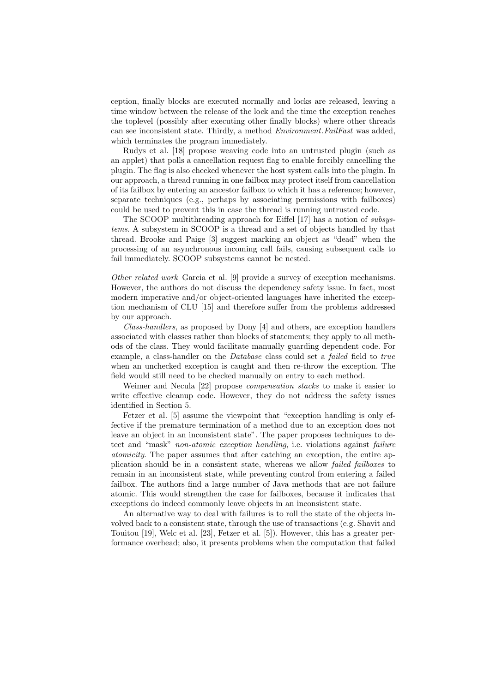ception, finally blocks are executed normally and locks are released, leaving a time window between the release of the lock and the time the exception reaches the toplevel (possibly after executing other finally blocks) where other threads can see inconsistent state. Thirdly, a method Environment.FailFast was added, which terminates the program immediately.

Rudys et al. [18] propose weaving code into an untrusted plugin (such as an applet) that polls a cancellation request flag to enable forcibly cancelling the plugin. The flag is also checked whenever the host system calls into the plugin. In our approach, a thread running in one failbox may protect itself from cancellation of its failbox by entering an ancestor failbox to which it has a reference; however, separate techniques (e.g., perhaps by associating permissions with failboxes) could be used to prevent this in case the thread is running untrusted code.

The SCOOP multithreading approach for Eiffel [17] has a notion of subsystems. A subsystem in SCOOP is a thread and a set of objects handled by that thread. Brooke and Paige [3] suggest marking an object as "dead" when the processing of an asynchronous incoming call fails, causing subsequent calls to fail immediately. SCOOP subsystems cannot be nested.

Other related work Garcia et al. [9] provide a survey of exception mechanisms. However, the authors do not discuss the dependency safety issue. In fact, most modern imperative and/or object-oriented languages have inherited the exception mechanism of CLU [15] and therefore suffer from the problems addressed by our approach.

Class-handlers, as proposed by Dony [4] and others, are exception handlers associated with classes rather than blocks of statements; they apply to all methods of the class. They would facilitate manually guarding dependent code. For example, a class-handler on the Database class could set a failed field to true when an unchecked exception is caught and then re-throw the exception. The field would still need to be checked manually on entry to each method.

Weimer and Necula [22] propose compensation stacks to make it easier to write effective cleanup code. However, they do not address the safety issues identified in Section 5.

Fetzer et al. [5] assume the viewpoint that "exception handling is only effective if the premature termination of a method due to an exception does not leave an object in an inconsistent state". The paper proposes techniques to detect and "mask" non-atomic exception handling, i.e. violations against failure atomicity. The paper assumes that after catching an exception, the entire application should be in a consistent state, whereas we allow failed failboxes to remain in an inconsistent state, while preventing control from entering a failed failbox. The authors find a large number of Java methods that are not failure atomic. This would strengthen the case for failboxes, because it indicates that exceptions do indeed commonly leave objects in an inconsistent state.

An alternative way to deal with failures is to roll the state of the objects involved back to a consistent state, through the use of transactions (e.g. Shavit and Touitou [19], Welc et al. [23], Fetzer et al. [5]). However, this has a greater performance overhead; also, it presents problems when the computation that failed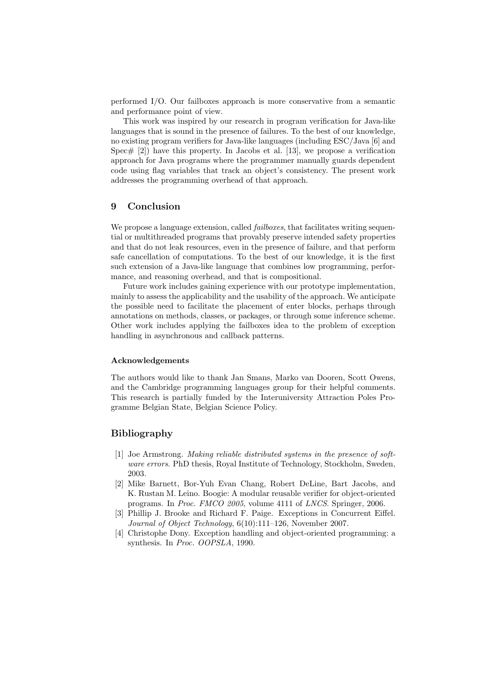performed I/O. Our failboxes approach is more conservative from a semantic and performance point of view.

This work was inspired by our research in program verification for Java-like languages that is sound in the presence of failures. To the best of our knowledge, no existing program verifiers for Java-like languages (including ESC/Java [6] and Spec $#$  [2]) have this property. In Jacobs et al. [13], we propose a verification approach for Java programs where the programmer manually guards dependent code using flag variables that track an object's consistency. The present work addresses the programming overhead of that approach.

## 9 Conclusion

We propose a language extension, called *failboxes*, that facilitates writing sequential or multithreaded programs that provably preserve intended safety properties and that do not leak resources, even in the presence of failure, and that perform safe cancellation of computations. To the best of our knowledge, it is the first such extension of a Java-like language that combines low programming, performance, and reasoning overhead, and that is compositional.

Future work includes gaining experience with our prototype implementation, mainly to assess the applicability and the usability of the approach. We anticipate the possible need to facilitate the placement of enter blocks, perhaps through annotations on methods, classes, or packages, or through some inference scheme. Other work includes applying the failboxes idea to the problem of exception handling in asynchronous and callback patterns.

#### Acknowledgements

The authors would like to thank Jan Smans, Marko van Dooren, Scott Owens, and the Cambridge programming languages group for their helpful comments. This research is partially funded by the Interuniversity Attraction Poles Programme Belgian State, Belgian Science Policy.

## Bibliography

- [1] Joe Armstrong. Making reliable distributed systems in the presence of software errors. PhD thesis, Royal Institute of Technology, Stockholm, Sweden, 2003.
- [2] Mike Barnett, Bor-Yuh Evan Chang, Robert DeLine, Bart Jacobs, and K. Rustan M. Leino. Boogie: A modular reusable verifier for object-oriented programs. In Proc. FMCO 2005, volume 4111 of LNCS. Springer, 2006.
- [3] Phillip J. Brooke and Richard F. Paige. Exceptions in Concurrent Eiffel. Journal of Object Technology, 6(10):111–126, November 2007.
- [4] Christophe Dony. Exception handling and object-oriented programming: a synthesis. In Proc. OOPSLA, 1990.